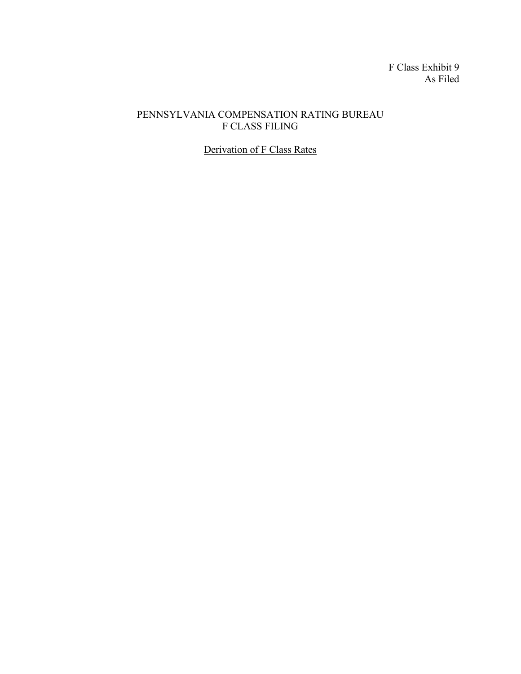F Class Exhibit 9 As Filed

## PENNSYLVANIA COMPENSATION RATING BUREAU F CLASS FILING

Derivation of F Class Rates